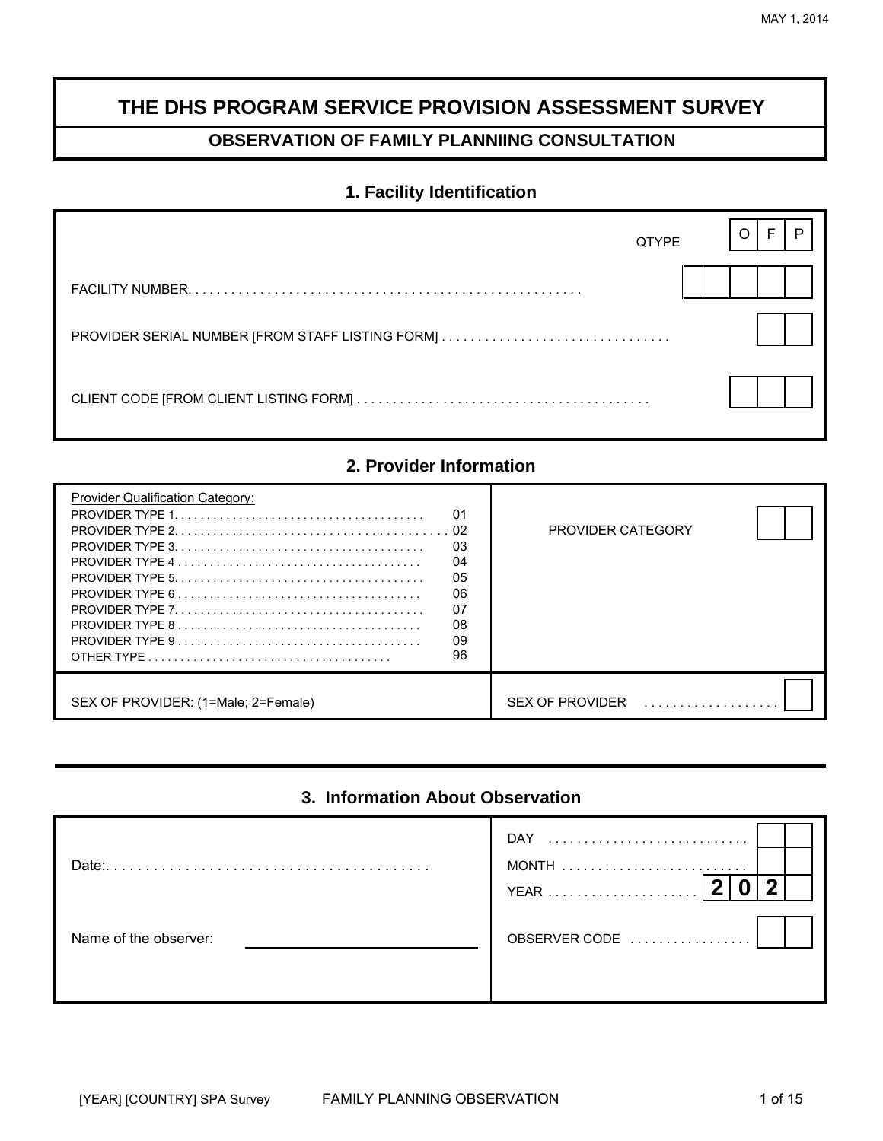# **THE DHS PROGRAM SERVICE PROVISION ASSESSMENT SURVEY**

# **OBSERVATION OF FAMILY PLANNIING CONSULTATION**

## **1. Facility Identification**

| <b>QTYPE</b> |  |  |
|--------------|--|--|
|              |  |  |
|              |  |  |
|              |  |  |

## **2. Provider Information**

| <b>Provider Qualification Category:</b><br>01<br>-02<br>03<br>04<br>05<br>06<br>07<br>08<br>09<br>96 | PROVIDER CATEGORY      |
|------------------------------------------------------------------------------------------------------|------------------------|
| SEX OF PROVIDER: (1=Male; 2=Female)                                                                  | <b>SEX OF PROVIDER</b> |

## **3. Information About Observation**

| Date:                 | DAY<br><b>YEAR</b> |  |
|-----------------------|--------------------|--|
| Name of the observer: | OBSERVER CODE      |  |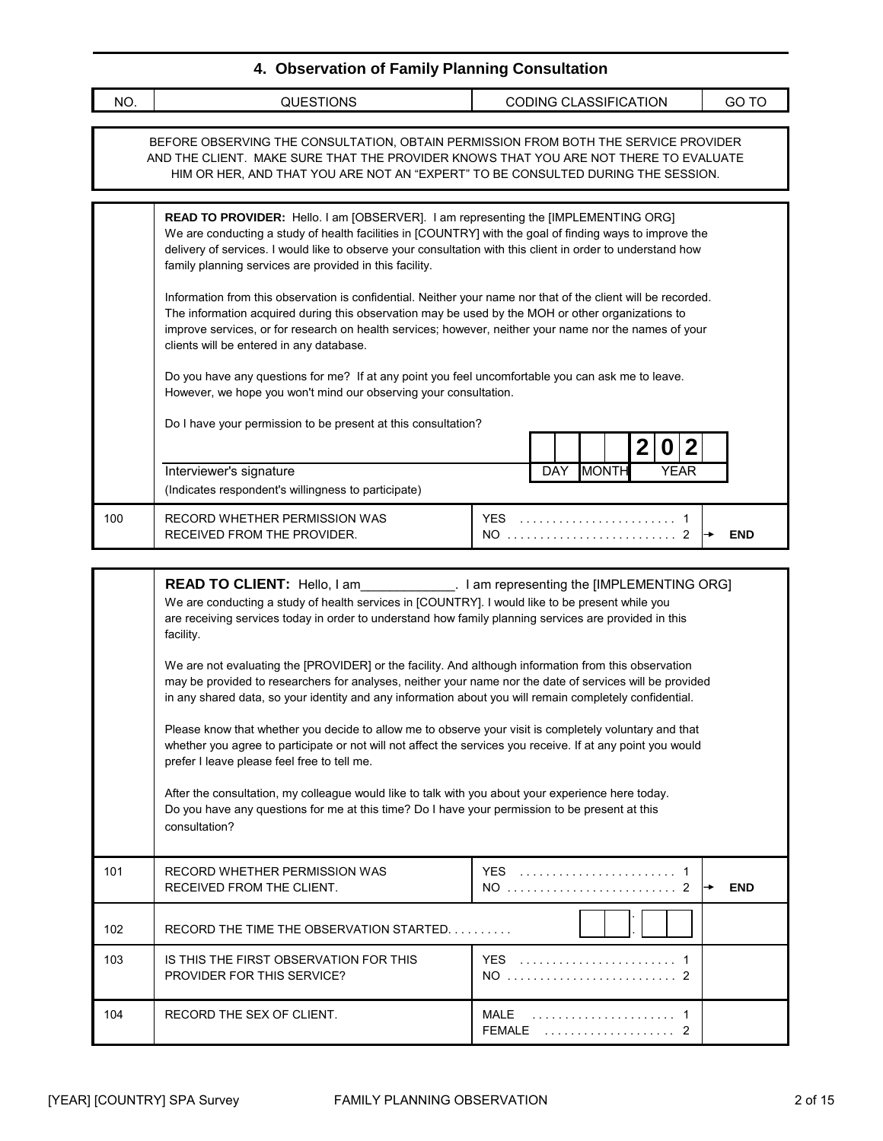| NO. | <b>QUESTIONS</b>                                                                                                                                                                                                                                                                                                                                                                                                                                                                                                                                                                                    | <b>CODING CLASSIFICATION</b>              | GO TO      |  |  |
|-----|-----------------------------------------------------------------------------------------------------------------------------------------------------------------------------------------------------------------------------------------------------------------------------------------------------------------------------------------------------------------------------------------------------------------------------------------------------------------------------------------------------------------------------------------------------------------------------------------------------|-------------------------------------------|------------|--|--|
|     | BEFORE OBSERVING THE CONSULTATION, OBTAIN PERMISSION FROM BOTH THE SERVICE PROVIDER<br>AND THE CLIENT. MAKE SURE THAT THE PROVIDER KNOWS THAT YOU ARE NOT THERE TO EVALUATE<br>HIM OR HER, AND THAT YOU ARE NOT AN "EXPERT" TO BE CONSULTED DURING THE SESSION.                                                                                                                                                                                                                                                                                                                                     |                                           |            |  |  |
|     | READ TO PROVIDER: Hello. I am [OBSERVER]. I am representing the [IMPLEMENTING ORG]<br>We are conducting a study of health facilities in [COUNTRY] with the goal of finding ways to improve the<br>delivery of services. I would like to observe your consultation with this client in order to understand how<br>family planning services are provided in this facility.                                                                                                                                                                                                                            |                                           |            |  |  |
|     | Information from this observation is confidential. Neither your name nor that of the client will be recorded.<br>The information acquired during this observation may be used by the MOH or other organizations to<br>improve services, or for research on health services; however, neither your name nor the names of your<br>clients will be entered in any database.                                                                                                                                                                                                                            |                                           |            |  |  |
|     | Do you have any questions for me? If at any point you feel uncomfortable you can ask me to leave.<br>However, we hope you won't mind our observing your consultation.                                                                                                                                                                                                                                                                                                                                                                                                                               |                                           |            |  |  |
|     | Do I have your permission to be present at this consultation?<br>2 <br>$\mathbf 2$<br>$\boldsymbol{0}$                                                                                                                                                                                                                                                                                                                                                                                                                                                                                              |                                           |            |  |  |
|     | Interviewer's signature<br>(Indicates respondent's willingness to participate)                                                                                                                                                                                                                                                                                                                                                                                                                                                                                                                      | <b>DAY</b><br><b>MONTH</b><br><b>YEAR</b> |            |  |  |
| 100 | RECORD WHETHER PERMISSION WAS<br>RECEIVED FROM THE PROVIDER.                                                                                                                                                                                                                                                                                                                                                                                                                                                                                                                                        |                                           | <b>END</b> |  |  |
|     | READ TO CLIENT: Hello, I am ____________. I am representing the [IMPLEMENTING ORG]<br>We are conducting a study of health services in [COUNTRY]. I would like to be present while you<br>are receiving services today in order to understand how family planning services are provided in this<br>facility.                                                                                                                                                                                                                                                                                         |                                           |            |  |  |
|     | We are not evaluating the [PROVIDER] or the facility. And although information from this observation<br>may be provided to researchers for analyses, neither your name nor the date of services will be provided<br>in any shared data, so your identity and any information about you will remain completely confidential.<br>Please know that whether you decide to allow me to observe your visit is completely voluntary and that<br>whether you agree to participate or not will not affect the services you receive. If at any point you would<br>prefer I leave please feel free to tell me. |                                           |            |  |  |
|     |                                                                                                                                                                                                                                                                                                                                                                                                                                                                                                                                                                                                     |                                           |            |  |  |
|     | After the consultation, my colleague would like to talk with you about your experience here today.<br>Do you have any questions for me at this time? Do I have your permission to be present at this                                                                                                                                                                                                                                                                                                                                                                                                |                                           |            |  |  |

| 101 | RECORD WHETHER PERMISSION WAS<br>RECEIVED FROM THE CLIENT.                  | <b>YFS</b><br>NO | <b>END</b> |
|-----|-----------------------------------------------------------------------------|------------------|------------|
| 102 | RECORD THE TIME THE OBSERVATION STARTED                                     |                  |            |
| 103 | IS THIS THE FIRST OBSERVATION FOR THIS<br><b>PROVIDER FOR THIS SERVICE?</b> | <b>YFS</b><br>NO |            |
| 104 | RECORD THE SEX OF CLIENT.                                                   | MAI F<br>FFMALF  |            |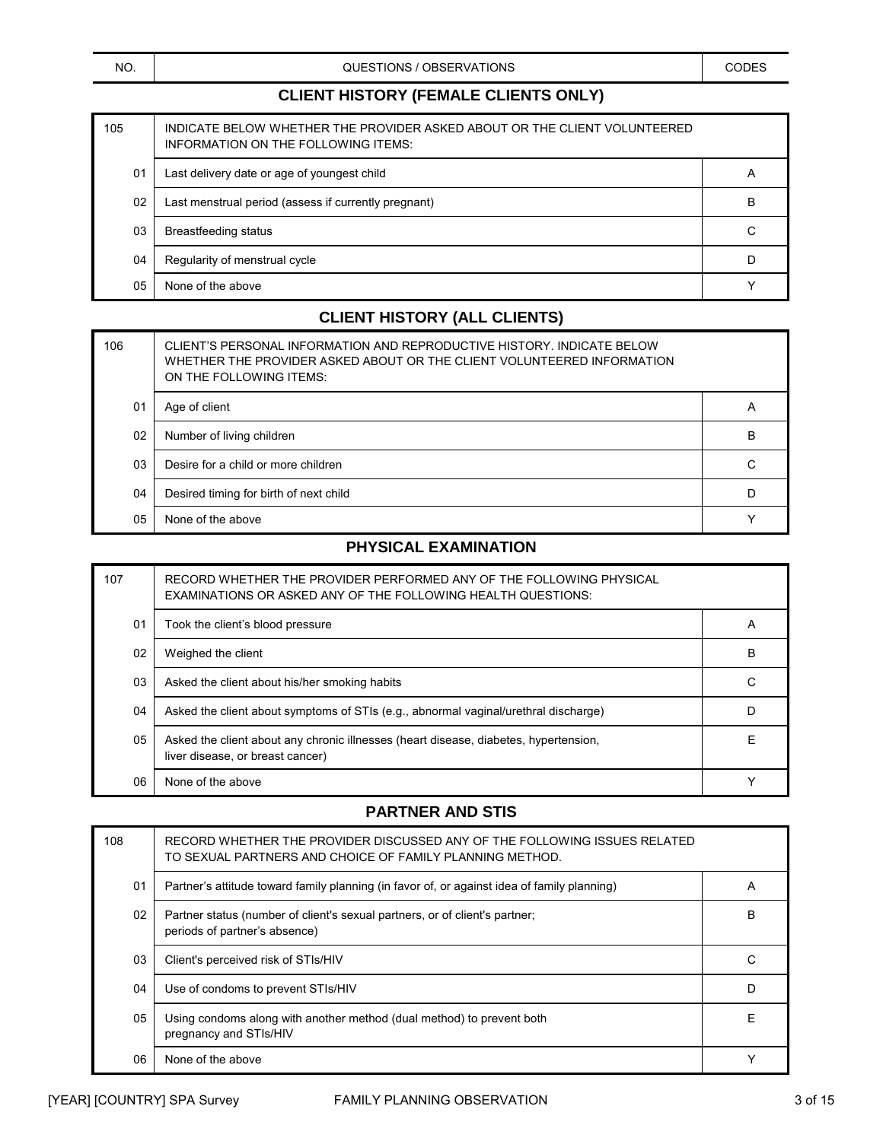QUESTIONS / OBSERVATIONS CODES

## **CLIENT HISTORY (FEMALE CLIENTS ONLY)**

| 105 | INDICATE BELOW WHETHER THE PROVIDER ASKED ABOUT OR THE CLIENT VOLUNTEERED<br>INFORMATION ON THE FOLLOWING ITEMS: |   |
|-----|------------------------------------------------------------------------------------------------------------------|---|
| 01  | Last delivery date or age of youngest child                                                                      | A |
| 02  | Last menstrual period (assess if currently pregnant)                                                             | B |
| 03  | <b>Breastfeeding status</b>                                                                                      | C |
| 04  | Regularity of menstrual cycle                                                                                    | D |
| 05  | None of the above                                                                                                |   |

## **CLIENT HISTORY (ALL CLIENTS)**

| 106            | CLIENT'S PERSONAL INFORMATION AND REPRODUCTIVE HISTORY. INDICATE BELOW<br>WHETHER THE PROVIDER ASKED ABOUT OR THE CLIENT VOLUNTEERED INFORMATION<br>ON THE FOLLOWING ITEMS: |                |
|----------------|-----------------------------------------------------------------------------------------------------------------------------------------------------------------------------|----------------|
| 01             | Age of client                                                                                                                                                               | $\overline{A}$ |
| 02             | Number of living children                                                                                                                                                   | В              |
| 0 <sub>3</sub> | Desire for a child or more children                                                                                                                                         | С              |
| 04             | Desired timing for birth of next child                                                                                                                                      | D              |
| 05             | None of the above                                                                                                                                                           |                |

## **PHYSICAL EXAMINATION**

| 107 | RECORD WHETHER THE PROVIDER PERFORMED ANY OF THE FOLLOWING PHYSICAL<br><b>EXAMINATIONS OR ASKED ANY OF THE FOLLOWING HEALTH QUESTIONS:</b> |   |
|-----|--------------------------------------------------------------------------------------------------------------------------------------------|---|
| 01  | Took the client's blood pressure                                                                                                           | A |
| 02  | Weighed the client                                                                                                                         | В |
| 03  | Asked the client about his/her smoking habits                                                                                              | C |
| 04  | Asked the client about symptoms of STIs (e.g., abnormal vaginal/urethral discharge)                                                        | D |
| 05  | Asked the client about any chronic illnesses (heart disease, diabetes, hypertension,<br>liver disease, or breast cancer)                   | F |
| 06  | None of the above                                                                                                                          |   |

## **PARTNER AND STIS**

| 108 | RECORD WHETHER THE PROVIDER DISCUSSED ANY OF THE FOLLOWING ISSUES RELATED<br>TO SEXUAL PARTNERS AND CHOICE OF FAMILY PLANNING METHOD. |                |
|-----|---------------------------------------------------------------------------------------------------------------------------------------|----------------|
| 01  | Partner's attitude toward family planning (in favor of, or against idea of family planning)                                           | $\overline{A}$ |
| 02  | Partner status (number of client's sexual partners, or of client's partner;<br>periods of partner's absence)                          | B              |
| 03  | Client's perceived risk of STIs/HIV                                                                                                   |                |
| 04  | Use of condoms to prevent STIs/HIV                                                                                                    |                |
| 05  | Using condoms along with another method (dual method) to prevent both<br>pregnancy and STIs/HIV                                       | F              |
| 06  | None of the above                                                                                                                     |                |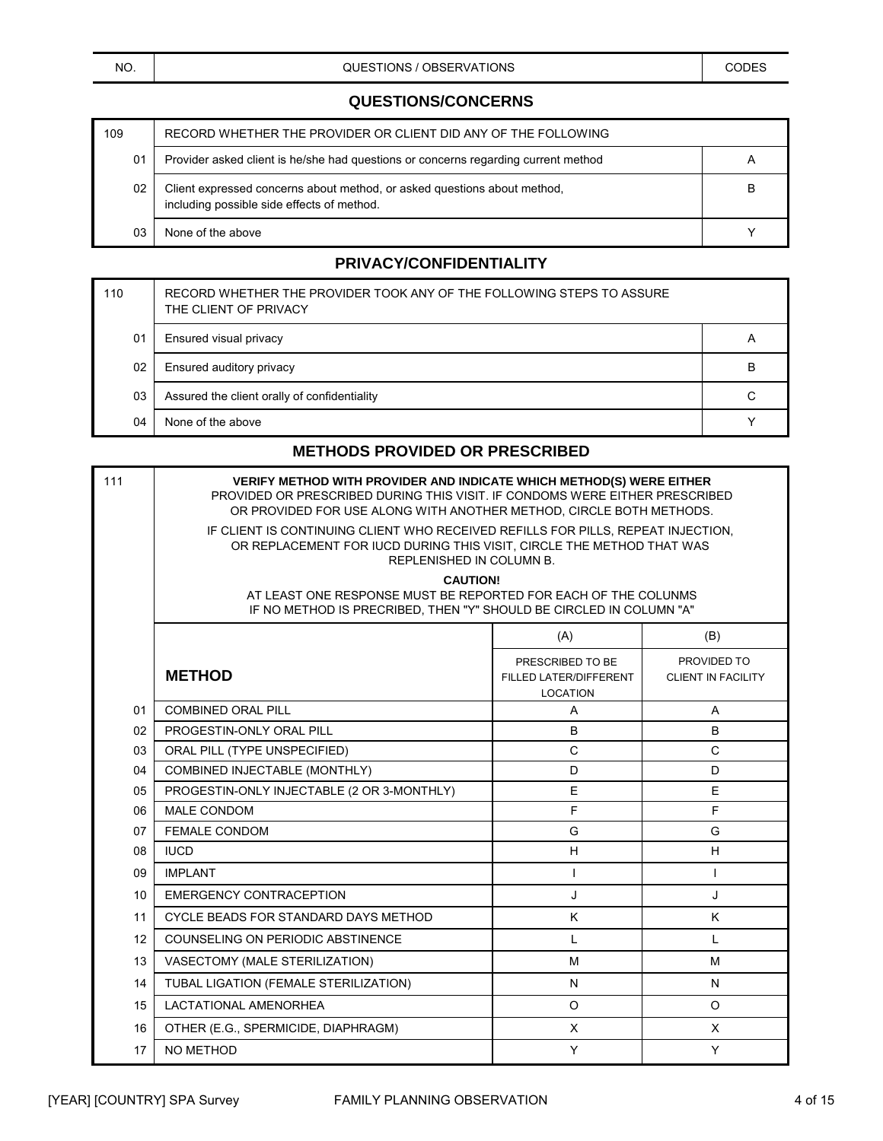### **QUESTIONS/CONCERNS**

| 109 | RECORD WHETHER THE PROVIDER OR CLIENT DID ANY OF THE FOLLOWING                                                         |   |
|-----|------------------------------------------------------------------------------------------------------------------------|---|
| 01  | Provider asked client is he/she had questions or concerns regarding current method                                     |   |
| 02  | Client expressed concerns about method, or asked questions about method,<br>including possible side effects of method. | B |
| 03  | None of the above                                                                                                      |   |

#### **PRIVACY/CONFIDENTIALITY**

| 110 | RECORD WHETHER THE PROVIDER TOOK ANY OF THE FOLLOWING STEPS TO ASSURE<br>THE CLIENT OF PRIVACY |   |
|-----|------------------------------------------------------------------------------------------------|---|
| 01  | Ensured visual privacy                                                                         | A |
| 02  | Ensured auditory privacy                                                                       | B |
| 03  | Assured the client orally of confidentiality                                                   | С |
| 04  | None of the above                                                                              |   |

### **METHODS PROVIDED OR PRESCRIBED**

| 111 | <b>VERIFY METHOD WITH PROVIDER AND INDICATE WHICH METHOD(S) WERE EITHER</b><br>PROVIDED OR PRESCRIBED DURING THIS VISIT. IF CONDOMS WERE EITHER PRESCRIBED<br>OR PROVIDED FOR USE ALONG WITH ANOTHER METHOD, CIRCLE BOTH METHODS.<br>IF CLIENT IS CONTINUING CLIENT WHO RECEIVED REFILLS FOR PILLS, REPEAT INJECTION,<br>OR REPLACEMENT FOR IUCD DURING THIS VISIT, CIRCLE THE METHOD THAT WAS<br>REPLENISHED IN COLUMN B.<br><b>CAUTION!</b><br>AT LEAST ONE RESPONSE MUST BE REPORTED FOR EACH OF THE COLUNMS<br>IF NO METHOD IS PRECRIBED, THEN "Y" SHOULD BE CIRCLED IN COLUMN "A" |                                                               |                                          |  |
|-----|----------------------------------------------------------------------------------------------------------------------------------------------------------------------------------------------------------------------------------------------------------------------------------------------------------------------------------------------------------------------------------------------------------------------------------------------------------------------------------------------------------------------------------------------------------------------------------------|---------------------------------------------------------------|------------------------------------------|--|
|     | (A)<br>(B)                                                                                                                                                                                                                                                                                                                                                                                                                                                                                                                                                                             |                                                               |                                          |  |
|     | <b>METHOD</b>                                                                                                                                                                                                                                                                                                                                                                                                                                                                                                                                                                          | PRESCRIBED TO BE<br>FILLED LATER/DIFFERENT<br><b>LOCATION</b> | PROVIDED TO<br><b>CLIENT IN FACILITY</b> |  |
| 01  | <b>COMBINED ORAL PILL</b>                                                                                                                                                                                                                                                                                                                                                                                                                                                                                                                                                              | A                                                             | A                                        |  |
| 02  | PROGESTIN-ONLY ORAL PILL                                                                                                                                                                                                                                                                                                                                                                                                                                                                                                                                                               | B                                                             | B                                        |  |
| 03  | ORAL PILL (TYPE UNSPECIFIED)                                                                                                                                                                                                                                                                                                                                                                                                                                                                                                                                                           | $\mathsf{C}$                                                  | $\mathsf{C}$                             |  |
| 04  | COMBINED INJECTABLE (MONTHLY)                                                                                                                                                                                                                                                                                                                                                                                                                                                                                                                                                          | D                                                             | D                                        |  |
| 05  | PROGESTIN-ONLY INJECTABLE (2 OR 3-MONTHLY)                                                                                                                                                                                                                                                                                                                                                                                                                                                                                                                                             | E                                                             | E                                        |  |
| 06  | <b>MALE CONDOM</b>                                                                                                                                                                                                                                                                                                                                                                                                                                                                                                                                                                     | F                                                             | F                                        |  |
| 07  | <b>FEMALE CONDOM</b>                                                                                                                                                                                                                                                                                                                                                                                                                                                                                                                                                                   | G                                                             | G                                        |  |
| 08  | <b>IUCD</b>                                                                                                                                                                                                                                                                                                                                                                                                                                                                                                                                                                            | H                                                             | H                                        |  |
| 09  | <b>IMPLANT</b>                                                                                                                                                                                                                                                                                                                                                                                                                                                                                                                                                                         | T                                                             | T                                        |  |
| 10  | <b>EMERGENCY CONTRACEPTION</b>                                                                                                                                                                                                                                                                                                                                                                                                                                                                                                                                                         | J                                                             | J                                        |  |
| 11  | CYCLE BEADS FOR STANDARD DAYS METHOD                                                                                                                                                                                                                                                                                                                                                                                                                                                                                                                                                   | K                                                             | K                                        |  |
| 12  | <b>COUNSELING ON PERIODIC ABSTINENCE</b>                                                                                                                                                                                                                                                                                                                                                                                                                                                                                                                                               | L                                                             | L                                        |  |
| 13  | VASECTOMY (MALE STERILIZATION)                                                                                                                                                                                                                                                                                                                                                                                                                                                                                                                                                         | M                                                             | M                                        |  |
| 14  | TUBAL LIGATION (FEMALE STERILIZATION)                                                                                                                                                                                                                                                                                                                                                                                                                                                                                                                                                  | N                                                             | N                                        |  |
| 15  | <b>LACTATIONAL AMENORHEA</b>                                                                                                                                                                                                                                                                                                                                                                                                                                                                                                                                                           | $\circ$                                                       | $\circ$                                  |  |
| 16  | OTHER (E.G., SPERMICIDE, DIAPHRAGM)                                                                                                                                                                                                                                                                                                                                                                                                                                                                                                                                                    | X                                                             | X                                        |  |
| 17  | NO METHOD                                                                                                                                                                                                                                                                                                                                                                                                                                                                                                                                                                              | Y                                                             | Y                                        |  |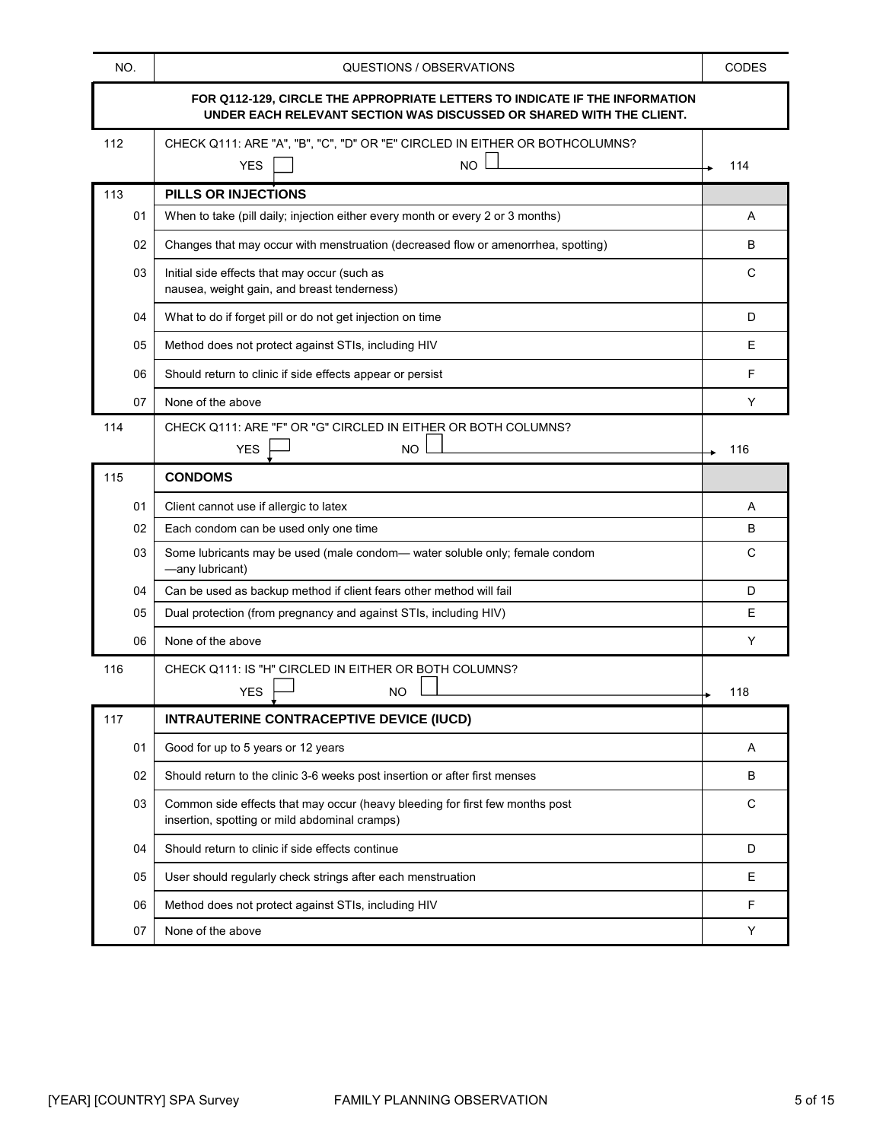| NO.                                                                                                                                                 | QUESTIONS / OBSERVATIONS                                                                                                      | <b>CODES</b> |
|-----------------------------------------------------------------------------------------------------------------------------------------------------|-------------------------------------------------------------------------------------------------------------------------------|--------------|
| FOR Q112-129, CIRCLE THE APPROPRIATE LETTERS TO INDICATE IF THE INFORMATION<br>UNDER EACH RELEVANT SECTION WAS DISCUSSED OR SHARED WITH THE CLIENT. |                                                                                                                               |              |
| 112                                                                                                                                                 | CHECK Q111: ARE "A", "B", "C", "D" OR "E" CIRCLED IN EITHER OR BOTHCOLUMNS?<br><b>YES</b><br>NO.                              | 114          |
| 113                                                                                                                                                 | PILLS OR INJECTIONS                                                                                                           |              |
| 01                                                                                                                                                  | When to take (pill daily; injection either every month or every 2 or 3 months)                                                | A            |
| 02                                                                                                                                                  | Changes that may occur with menstruation (decreased flow or amenorrhea, spotting)                                             | в            |
| 03                                                                                                                                                  | Initial side effects that may occur (such as<br>nausea, weight gain, and breast tenderness)                                   | C            |
| 04                                                                                                                                                  | What to do if forget pill or do not get injection on time                                                                     | D            |
| 05                                                                                                                                                  | Method does not protect against STIs, including HIV                                                                           | Е            |
| 06                                                                                                                                                  | Should return to clinic if side effects appear or persist                                                                     | F            |
| 07                                                                                                                                                  | None of the above                                                                                                             | Y            |
| 114                                                                                                                                                 | CHECK Q111: ARE "F" OR "G" CIRCLED IN EITHER OR BOTH COLUMNS?<br><b>NO</b><br><b>YES</b>                                      | 116          |
| 115                                                                                                                                                 | <b>CONDOMS</b>                                                                                                                |              |
| 01                                                                                                                                                  | Client cannot use if allergic to latex                                                                                        | A            |
| 02                                                                                                                                                  | Each condom can be used only one time                                                                                         | B            |
| 03                                                                                                                                                  | Some lubricants may be used (male condom— water soluble only; female condom<br>-any lubricant)                                | C            |
| 04                                                                                                                                                  | Can be used as backup method if client fears other method will fail                                                           | D            |
| 05                                                                                                                                                  | Dual protection (from pregnancy and against STIs, including HIV)                                                              | Е            |
| 06                                                                                                                                                  | None of the above                                                                                                             | Y            |
| 116                                                                                                                                                 | CHECK Q111: IS "H" CIRCLED IN EITHER OR BOTH COLUMNS?<br>YES<br>NO.                                                           | 118          |
| 117                                                                                                                                                 | INTRAUTERINE CONTRACEPTIVE DEVICE (IUCD)                                                                                      |              |
| 01                                                                                                                                                  | Good for up to 5 years or 12 years                                                                                            | Α            |
| 02                                                                                                                                                  | Should return to the clinic 3-6 weeks post insertion or after first menses                                                    | B            |
| 03                                                                                                                                                  | Common side effects that may occur (heavy bleeding for first few months post<br>insertion, spotting or mild abdominal cramps) | C            |
| 04                                                                                                                                                  | Should return to clinic if side effects continue                                                                              | D            |
| 05                                                                                                                                                  | User should regularly check strings after each menstruation                                                                   | Е            |
| 06                                                                                                                                                  | Method does not protect against STIs, including HIV                                                                           | F            |
| 07                                                                                                                                                  | None of the above                                                                                                             | Υ            |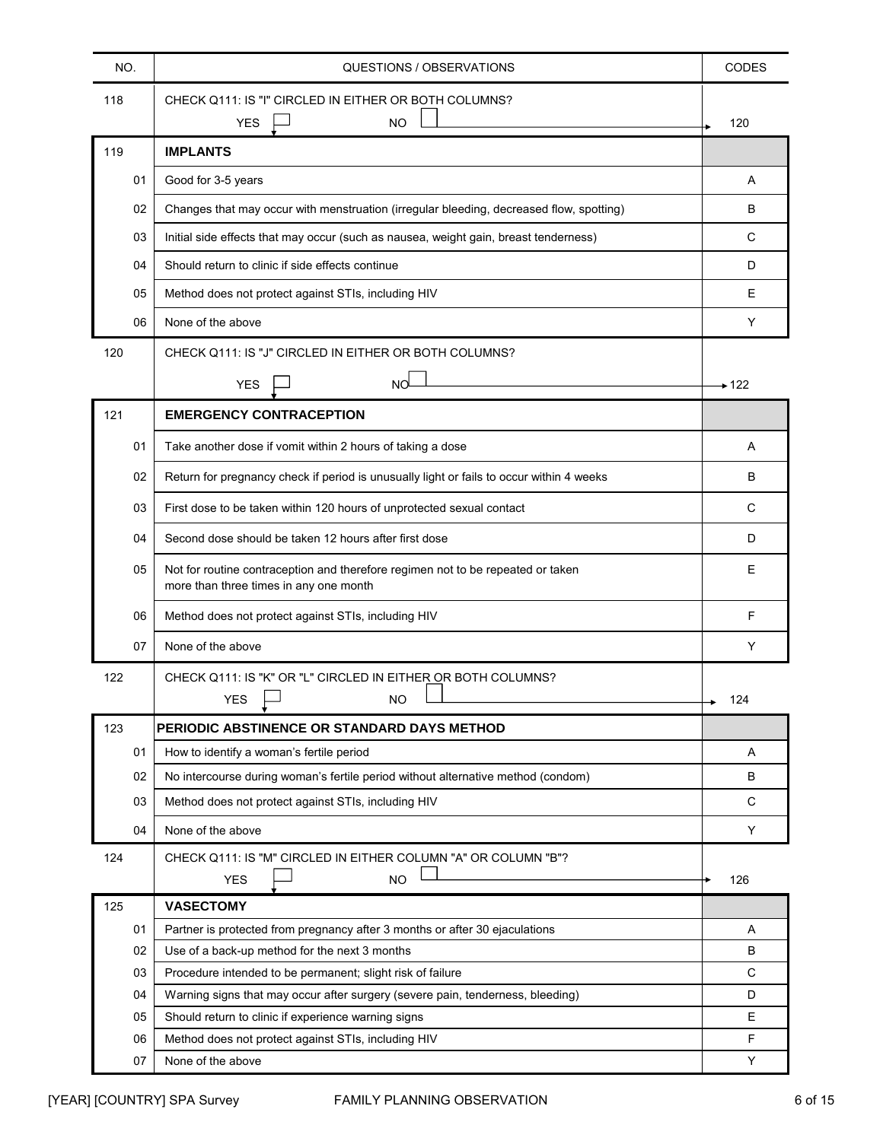| NO. | QUESTIONS / OBSERVATIONS                                                                                                  | <b>CODES</b> |
|-----|---------------------------------------------------------------------------------------------------------------------------|--------------|
| 118 | CHECK Q111: IS "I" CIRCLED IN EITHER OR BOTH COLUMNS?<br><b>NO</b><br><b>YES</b>                                          | 120          |
| 119 | <b>IMPLANTS</b>                                                                                                           |              |
| 01  | Good for 3-5 years                                                                                                        | A            |
| 02  | Changes that may occur with menstruation (irregular bleeding, decreased flow, spotting)                                   | В            |
| 03  | Initial side effects that may occur (such as nausea, weight gain, breast tenderness)                                      | С            |
| 04  | Should return to clinic if side effects continue                                                                          | D            |
| 05  | Method does not protect against STIs, including HIV                                                                       | Е            |
| 06  | None of the above                                                                                                         | Y            |
| 120 | CHECK Q111: IS "J" CIRCLED IN EITHER OR BOTH COLUMNS?                                                                     |              |
|     | NO <sub>1</sub><br><b>YES</b>                                                                                             | → 122        |
| 121 | <b>EMERGENCY CONTRACEPTION</b>                                                                                            |              |
| 01  | Take another dose if vomit within 2 hours of taking a dose                                                                | A            |
| 02  | Return for pregnancy check if period is unusually light or fails to occur within 4 weeks                                  | в            |
|     |                                                                                                                           |              |
| 03  | First dose to be taken within 120 hours of unprotected sexual contact                                                     | С            |
| 04  | Second dose should be taken 12 hours after first dose                                                                     | D            |
| 05  | Not for routine contraception and therefore regimen not to be repeated or taken<br>more than three times in any one month | Е            |
| 06  | Method does not protect against STIs, including HIV                                                                       | F            |
| 07  | None of the above                                                                                                         | Y            |
| 122 | CHECK Q111: IS "K" OR "L" CIRCLED IN EITHER OR BOTH COLUMNS?<br><b>YES</b><br>NO.                                         | 124          |
| 123 | PERIODIC ABSTINENCE OR STANDARD DAYS METHOD                                                                               |              |
| 01  | How to identify a woman's fertile period                                                                                  | Α            |
| 02  | No intercourse during woman's fertile period without alternative method (condom)                                          | В            |
| 03  | Method does not protect against STIs, including HIV                                                                       | С            |
| 04  | None of the above                                                                                                         | Υ            |
| 124 | CHECK Q111: IS "M" CIRCLED IN EITHER COLUMN "A" OR COLUMN "B"?                                                            |              |
| 125 | <b>NO</b><br><b>YES</b><br><b>VASECTOMY</b>                                                                               | 126          |
| 01  | Partner is protected from pregnancy after 3 months or after 30 ejaculations                                               | Α            |
| 02  | Use of a back-up method for the next 3 months                                                                             | В            |
| 03  | Procedure intended to be permanent; slight risk of failure                                                                | C            |
| 04  | Warning signs that may occur after surgery (severe pain, tenderness, bleeding)                                            | D            |
| 05  | Should return to clinic if experience warning signs                                                                       | Е            |
| 06  | Method does not protect against STIs, including HIV                                                                       | $\mathsf F$  |
| 07  | None of the above                                                                                                         | Υ            |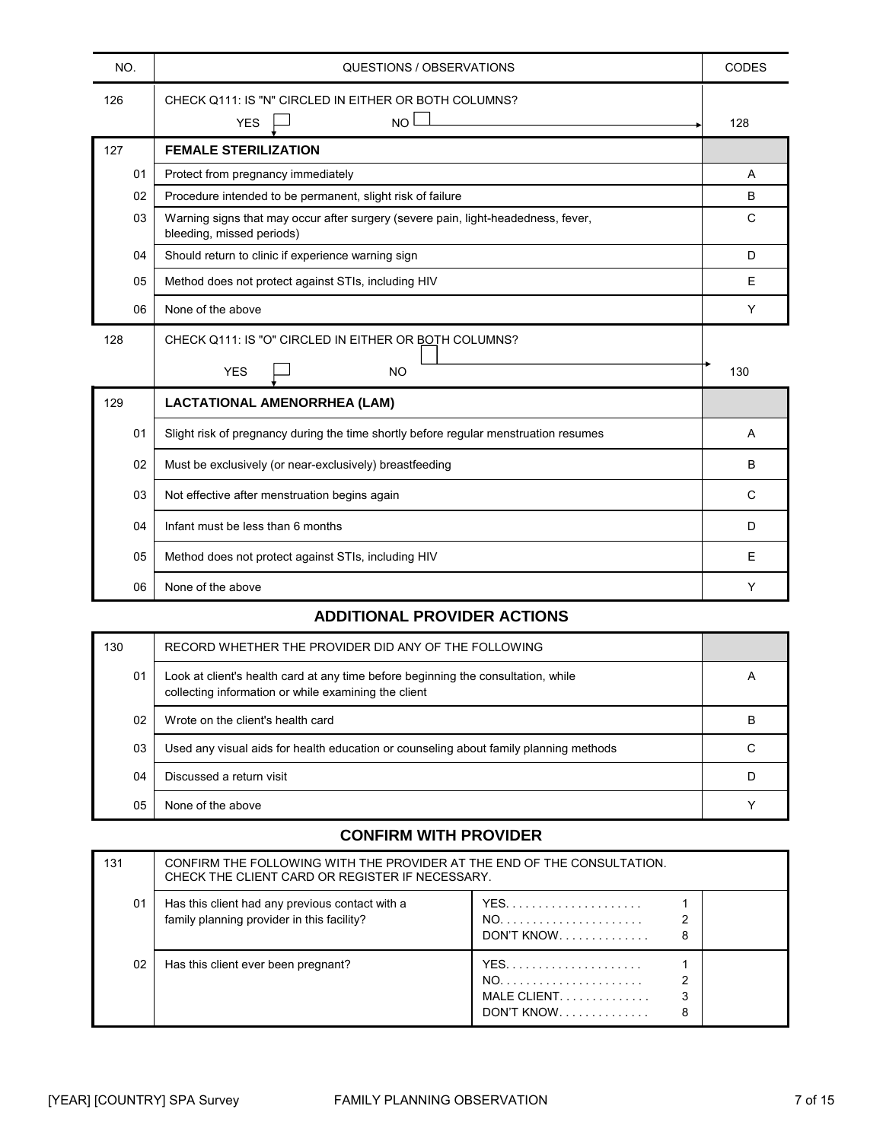| NO. | QUESTIONS / OBSERVATIONS                                                                                       | CODES       |
|-----|----------------------------------------------------------------------------------------------------------------|-------------|
| 126 | CHECK Q111: IS "N" CIRCLED IN EITHER OR BOTH COLUMNS?<br>$NO$ $\Box$<br><b>YES</b>                             | 128         |
| 127 | <b>FEMALE STERILIZATION</b>                                                                                    |             |
| 01  | Protect from pregnancy immediately                                                                             | Α           |
| 02  | Procedure intended to be permanent, slight risk of failure                                                     | B           |
| 03  | Warning signs that may occur after surgery (severe pain, light-headedness, fever,<br>bleeding, missed periods) | $\mathbf C$ |
| 04  | Should return to clinic if experience warning sign                                                             | D           |
| 05  | Method does not protect against STIs, including HIV                                                            | E           |
| 06  | None of the above                                                                                              | Y           |
| 128 | CHECK Q111: IS "O" CIRCLED IN EITHER OR BOTH COLUMNS?                                                          |             |
|     | <b>YES</b><br><b>NO</b>                                                                                        | 130         |
| 129 | <b>LACTATIONAL AMENORRHEA (LAM)</b>                                                                            |             |
| 01  | Slight risk of pregnancy during the time shortly before regular menstruation resumes                           | A           |
| 02  | Must be exclusively (or near-exclusively) breastfeeding                                                        | B           |
| 03  | Not effective after menstruation begins again                                                                  | C           |
| 04  | Infant must be less than 6 months                                                                              | D           |
| 05  | Method does not protect against STIs, including HIV                                                            | E           |
| 06  | None of the above                                                                                              | Υ           |

## **ADDITIONAL PROVIDER ACTIONS**

| 130 | RECORD WHETHER THE PROVIDER DID ANY OF THE FOLLOWING                                                                                      |   |
|-----|-------------------------------------------------------------------------------------------------------------------------------------------|---|
| 01  | Look at client's health card at any time before beginning the consultation, while<br>collecting information or while examining the client | A |
| 02  | Wrote on the client's health card                                                                                                         | в |
| 03  | Used any visual aids for health education or counseling about family planning methods                                                     |   |
| 04  | Discussed a return visit                                                                                                                  |   |
| 05  | None of the above                                                                                                                         |   |

### **CONFIRM WITH PROVIDER**

| 131 | CONFIRM THE FOLLOWING WITH THE PROVIDER AT THE END OF THE CONSULTATION.<br>CHECK THE CLIENT CARD OR REGISTER IF NECESSARY. |                                |
|-----|----------------------------------------------------------------------------------------------------------------------------|--------------------------------|
| 01  | Has this client had any previous contact with a<br>family planning provider in this facility?                              | $DON'T$ KNOW<br>8              |
| 02  | Has this client ever been pregnant?                                                                                        | MALE CLIENT<br>DON'T KNOW<br>8 |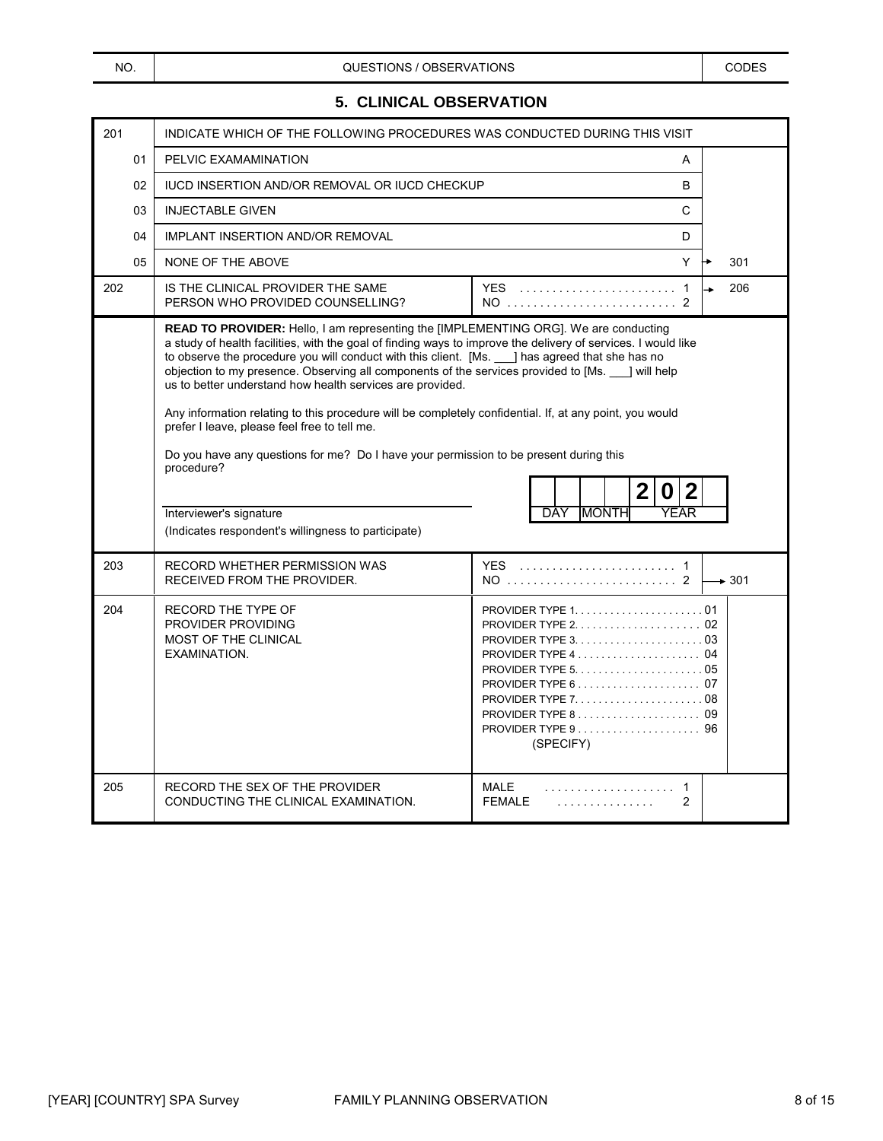#### **5. CLINICAL OBSERVATION**

| 201            | INDICATE WHICH OF THE FOLLOWING PROCEDURES WAS CONDUCTED DURING THIS VISIT                                                                                                                                                                                                                                                                                                                                                                                                                                                                                                                                                                                                                                                                                                                                                     |                                                                                                                                                                                                                         |                   |
|----------------|--------------------------------------------------------------------------------------------------------------------------------------------------------------------------------------------------------------------------------------------------------------------------------------------------------------------------------------------------------------------------------------------------------------------------------------------------------------------------------------------------------------------------------------------------------------------------------------------------------------------------------------------------------------------------------------------------------------------------------------------------------------------------------------------------------------------------------|-------------------------------------------------------------------------------------------------------------------------------------------------------------------------------------------------------------------------|-------------------|
| 01             | PELVIC EXAMAMINATION                                                                                                                                                                                                                                                                                                                                                                                                                                                                                                                                                                                                                                                                                                                                                                                                           | A                                                                                                                                                                                                                       |                   |
| 02             | <b>IUCD INSERTION AND/OR REMOVAL OR IUCD CHECKUP</b>                                                                                                                                                                                                                                                                                                                                                                                                                                                                                                                                                                                                                                                                                                                                                                           | B                                                                                                                                                                                                                       |                   |
| 0 <sub>3</sub> | <b>INJECTABLE GIVEN</b>                                                                                                                                                                                                                                                                                                                                                                                                                                                                                                                                                                                                                                                                                                                                                                                                        | C                                                                                                                                                                                                                       |                   |
| 04             | IMPLANT INSERTION AND/OR REMOVAL                                                                                                                                                                                                                                                                                                                                                                                                                                                                                                                                                                                                                                                                                                                                                                                               | D                                                                                                                                                                                                                       |                   |
| 05             | NONE OF THE ABOVE                                                                                                                                                                                                                                                                                                                                                                                                                                                                                                                                                                                                                                                                                                                                                                                                              | Y                                                                                                                                                                                                                       | 301               |
| 202            | IS THE CLINICAL PROVIDER THE SAME<br>PERSON WHO PROVIDED COUNSELLING?                                                                                                                                                                                                                                                                                                                                                                                                                                                                                                                                                                                                                                                                                                                                                          | $NO$ 2                                                                                                                                                                                                                  | 206               |
|                | READ TO PROVIDER: Hello, I am representing the [IMPLEMENTING ORG]. We are conducting<br>a study of health facilities, with the goal of finding ways to improve the delivery of services. I would like<br>to observe the procedure you will conduct with this client. [Ms. __ ] has agreed that she has no<br>objection to my presence. Observing all components of the services provided to [Ms.  ] will help<br>us to better understand how health services are provided.<br>Any information relating to this procedure will be completely confidential. If, at any point, you would<br>prefer I leave, please feel free to tell me.<br>Do you have any questions for me? Do I have your permission to be present during this<br>procedure?<br>Interviewer's signature<br>(Indicates respondent's willingness to participate) | $\mathbf{2}$<br>2<br>O<br><b>MONTH</b><br>YEAR<br>DAY                                                                                                                                                                   |                   |
| 203            | RECORD WHETHER PERMISSION WAS<br>RECEIVED FROM THE PROVIDER.                                                                                                                                                                                                                                                                                                                                                                                                                                                                                                                                                                                                                                                                                                                                                                   |                                                                                                                                                                                                                         | $\rightarrow$ 301 |
| 204            | RECORD THE TYPE OF<br>PROVIDER PROVIDING<br>MOST OF THE CLINICAL<br>EXAMINATION.                                                                                                                                                                                                                                                                                                                                                                                                                                                                                                                                                                                                                                                                                                                                               | PROVIDER TYPE $2, \ldots, \ldots, \ldots, \ldots, 02$<br>PROVIDER TYPE $5. \ldots \ldots \ldots \ldots \ldots \ldots 05$<br>PROVIDER TYPE $8, 1, 1, 1, 1, 1, 1, 1, 1, 1, 1, 1, 1, 1$<br>PROVIDER TYPE 9 96<br>(SPECIFY) |                   |
| 205            | RECORD THE SEX OF THE PROVIDER<br>CONDUCTING THE CLINICAL EXAMINATION.                                                                                                                                                                                                                                                                                                                                                                                                                                                                                                                                                                                                                                                                                                                                                         | MALE<br>$\mathbf{1}$<br><b>FEMALE</b><br>$\overline{2}$<br>.                                                                                                                                                            |                   |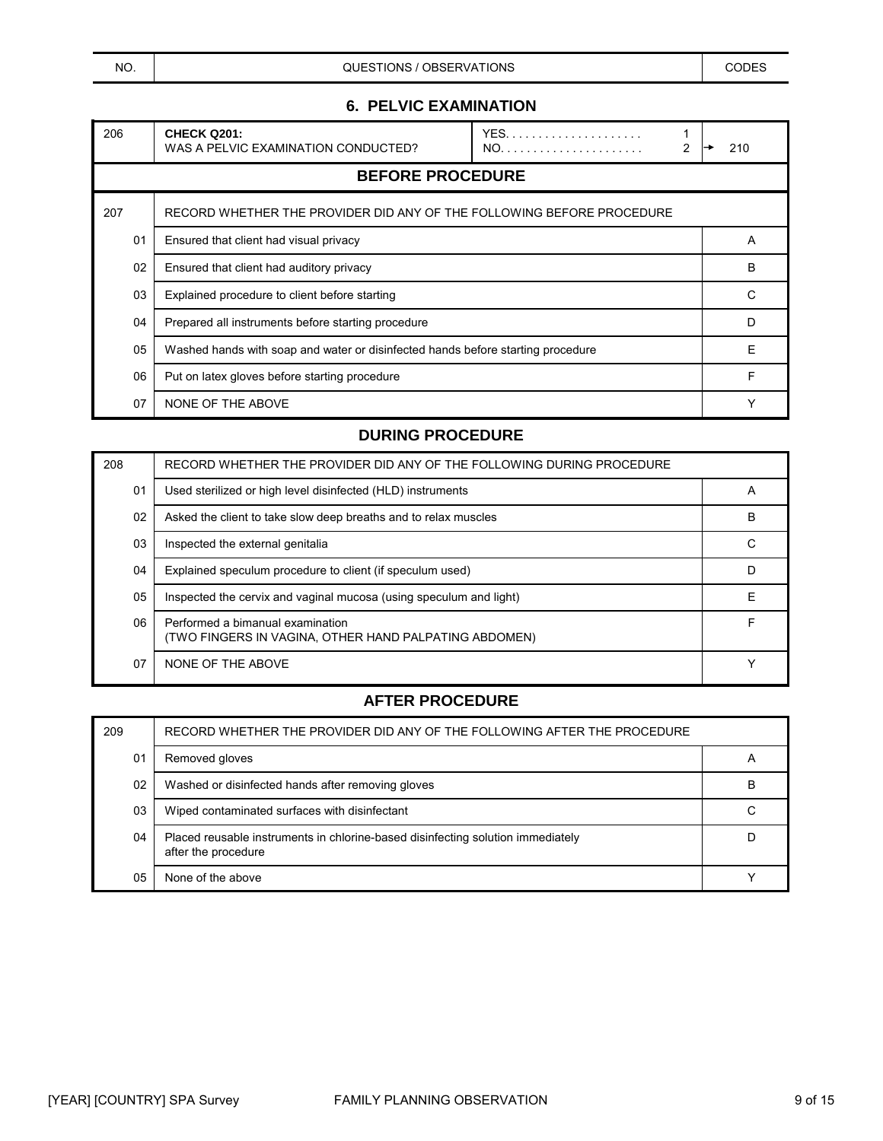NO. NO. NO. A CODES CODES CONSTIONS / OBSERVATIONS CODES CODES

## **6. PELVIC EXAMINATION**

| 206 | <b>CHECK Q201:</b><br>WAS A PELVIC EXAMINATION CONDUCTED?                       | <b>YFS</b><br>2 | 210 |
|-----|---------------------------------------------------------------------------------|-----------------|-----|
|     | <b>BEFORE PROCEDURE</b>                                                         |                 |     |
| 207 | RECORD WHETHER THE PROVIDER DID ANY OF THE FOLLOWING BEFORE PROCEDURE           |                 |     |
| 01  | Ensured that client had visual privacy                                          |                 | A   |
| 02  | Ensured that client had auditory privacy                                        |                 | B   |
| 03  | Explained procedure to client before starting                                   |                 | C   |
| 04  | Prepared all instruments before starting procedure                              |                 | D   |
| 05  | Washed hands with soap and water or disinfected hands before starting procedure |                 | Ε   |
| 06  | Put on latex gloves before starting procedure                                   |                 | F   |
| 07  | NONE OF THE ABOVE                                                               |                 |     |

#### **DURING PROCEDURE**

| 208 | RECORD WHETHER THE PROVIDER DID ANY OF THE FOLLOWING DURING PROCEDURE                     |   |
|-----|-------------------------------------------------------------------------------------------|---|
| 01  | Used sterilized or high level disinfected (HLD) instruments                               | A |
| 02  | Asked the client to take slow deep breaths and to relax muscles                           | B |
| 03  | Inspected the external genitalia                                                          | С |
| 04  | Explained speculum procedure to client (if speculum used)                                 | D |
| 05  | Inspected the cervix and vaginal mucosa (using speculum and light)                        | F |
| 06  | Performed a bimanual examination<br>(TWO FINGERS IN VAGINA, OTHER HAND PALPATING ABDOMEN) | F |
| 07  | NONE OF THE ABOVE                                                                         |   |

| 209 | RECORD WHETHER THE PROVIDER DID ANY OF THE FOLLOWING AFTER THE PROCEDURE                               |   |
|-----|--------------------------------------------------------------------------------------------------------|---|
| 01  | Removed gloves                                                                                         |   |
| 02  | Washed or disinfected hands after removing gloves                                                      | в |
| 03  | Wiped contaminated surfaces with disinfectant                                                          |   |
| 04  | Placed reusable instruments in chlorine-based disinfecting solution immediately<br>after the procedure |   |
| 05  | None of the above                                                                                      |   |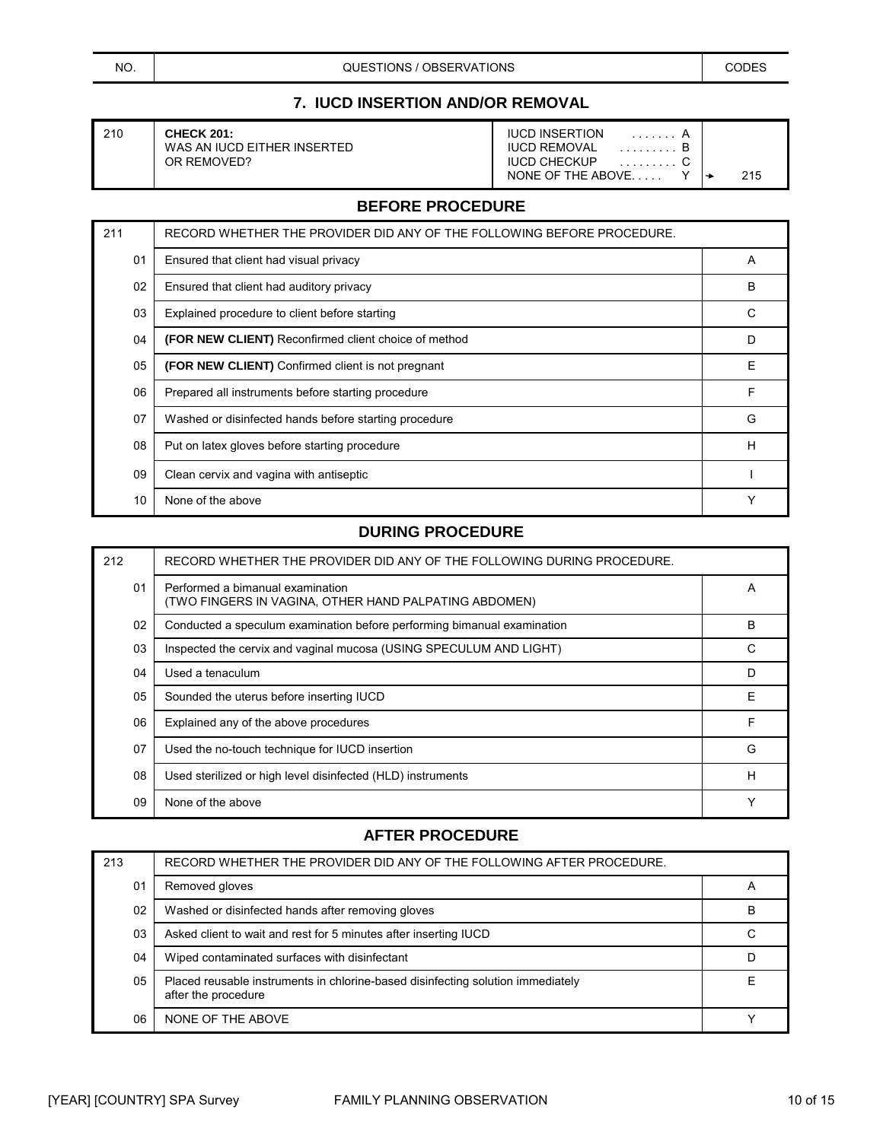NO. NO. NO. A CODES CODES CONSTIONS / OBSERVATIONS CODES CODES

## **7. IUCD INSERTION AND/OR REMOVAL**

| 210 | <b>CHECK 201:</b><br>WAS AN IUCD EITHER INSERTED | <b>IUCD INSERTION</b><br><b>IUCD REMOVAL</b> |     |
|-----|--------------------------------------------------|----------------------------------------------|-----|
|     | OR REMOVED?                                      | <b>IUCD CHECKUP</b><br>NONE OF THE ABOVE     | 215 |

### **BEFORE PROCEDURE**

| 211 | RECORD WHETHER THE PROVIDER DID ANY OF THE FOLLOWING BEFORE PROCEDURE. |              |
|-----|------------------------------------------------------------------------|--------------|
| 01  | Ensured that client had visual privacy                                 | A            |
| 02  | Ensured that client had auditory privacy                               | B            |
| 03  | Explained procedure to client before starting                          | C            |
| 04  | (FOR NEW CLIENT) Reconfirmed client choice of method                   | D            |
| 05  | (FOR NEW CLIENT) Confirmed client is not pregnant                      | Е            |
| 06  | Prepared all instruments before starting procedure                     | F            |
| 07  | Washed or disinfected hands before starting procedure                  | G            |
| 08  | Put on latex gloves before starting procedure                          | Н            |
| 09  | Clean cervix and vagina with antiseptic                                |              |
| 10  | None of the above                                                      | $\checkmark$ |

## **DURING PROCEDURE**

| 212 | RECORD WHETHER THE PROVIDER DID ANY OF THE FOLLOWING DURING PROCEDURE.                    |             |
|-----|-------------------------------------------------------------------------------------------|-------------|
| 01  | Performed a bimanual examination<br>(TWO FINGERS IN VAGINA, OTHER HAND PALPATING ABDOMEN) | A           |
| 02  | Conducted a speculum examination before performing bimanual examination                   | B           |
| 03  | Inspected the cervix and vaginal mucosa (USING SPECULUM AND LIGHT)                        | С           |
| 04  | Used a tenaculum                                                                          | D           |
| 05  | Sounded the uterus before inserting IUCD                                                  | Е           |
| 06  | Explained any of the above procedures                                                     | F           |
| 07  | Used the no-touch technique for IUCD insertion                                            | G           |
| 08  | Used sterilized or high level disinfected (HLD) instruments                               | Н           |
| 09  | None of the above                                                                         | $\check{ }$ |

| 213 | RECORD WHETHER THE PROVIDER DID ANY OF THE FOLLOWING AFTER PROCEDURE.                                  |   |
|-----|--------------------------------------------------------------------------------------------------------|---|
| 01  | Removed gloves                                                                                         | А |
| 02  | Washed or disinfected hands after removing gloves                                                      | B |
| 03  | Asked client to wait and rest for 5 minutes after inserting IUCD                                       |   |
| 04  | Wiped contaminated surfaces with disinfectant                                                          |   |
| 05  | Placed reusable instruments in chlorine-based disinfecting solution immediately<br>after the procedure |   |
| 06  | NONE OF THE ABOVE                                                                                      |   |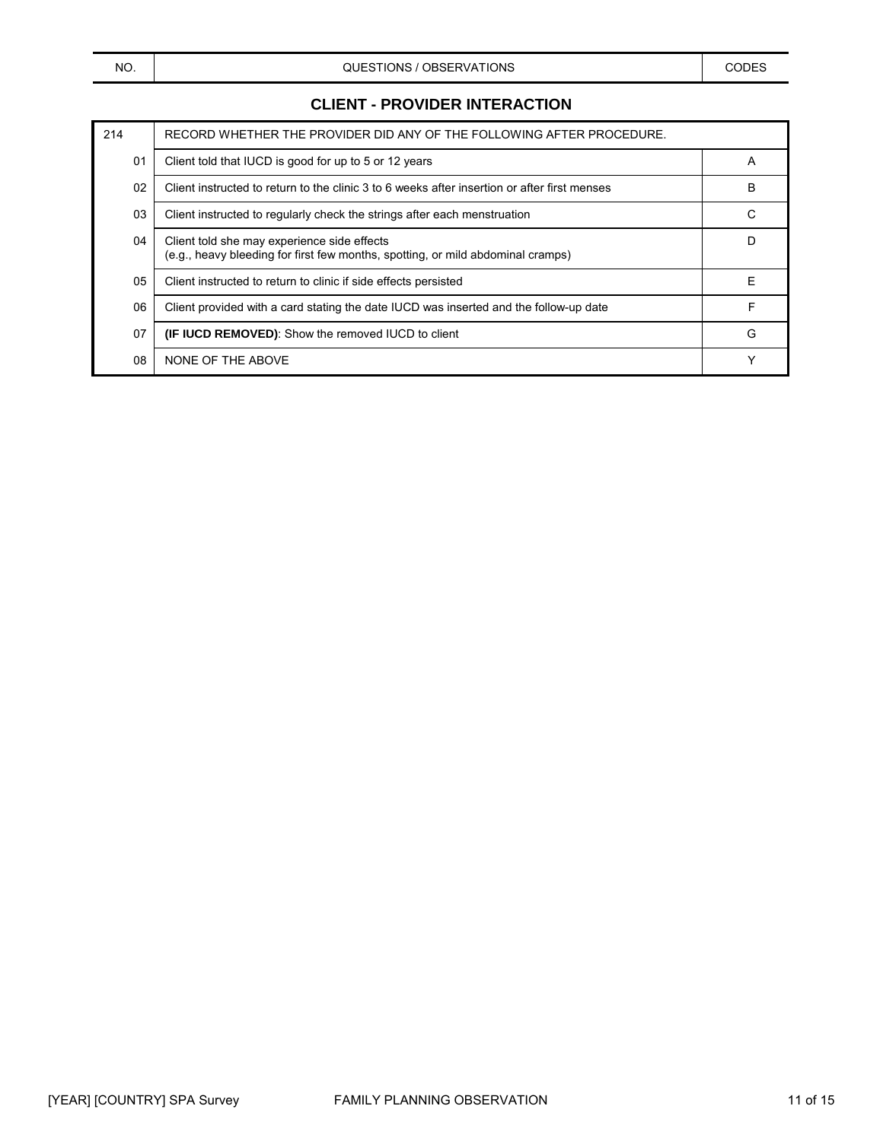## **CLIENT - PROVIDER INTERACTION**

| 214 | RECORD WHETHER THE PROVIDER DID ANY OF THE FOLLOWING AFTER PROCEDURE.                                                          |   |
|-----|--------------------------------------------------------------------------------------------------------------------------------|---|
| 01  | Client told that IUCD is good for up to 5 or 12 years                                                                          | A |
| 02  | Client instructed to return to the clinic 3 to 6 weeks after insertion or after first menses                                   | В |
| 03  | Client instructed to regularly check the strings after each menstruation                                                       | С |
| 04  | Client told she may experience side effects<br>(e.g., heavy bleeding for first few months, spotting, or mild abdominal cramps) | D |
| 05  | Client instructed to return to clinic if side effects persisted                                                                | E |
| 06  | Client provided with a card stating the date IUCD was inserted and the follow-up date                                          | F |
| 07  | <b>(IF IUCD REMOVED):</b> Show the removed IUCD to client                                                                      | G |
| 08  | NONE OF THE ABOVE                                                                                                              | ٧ |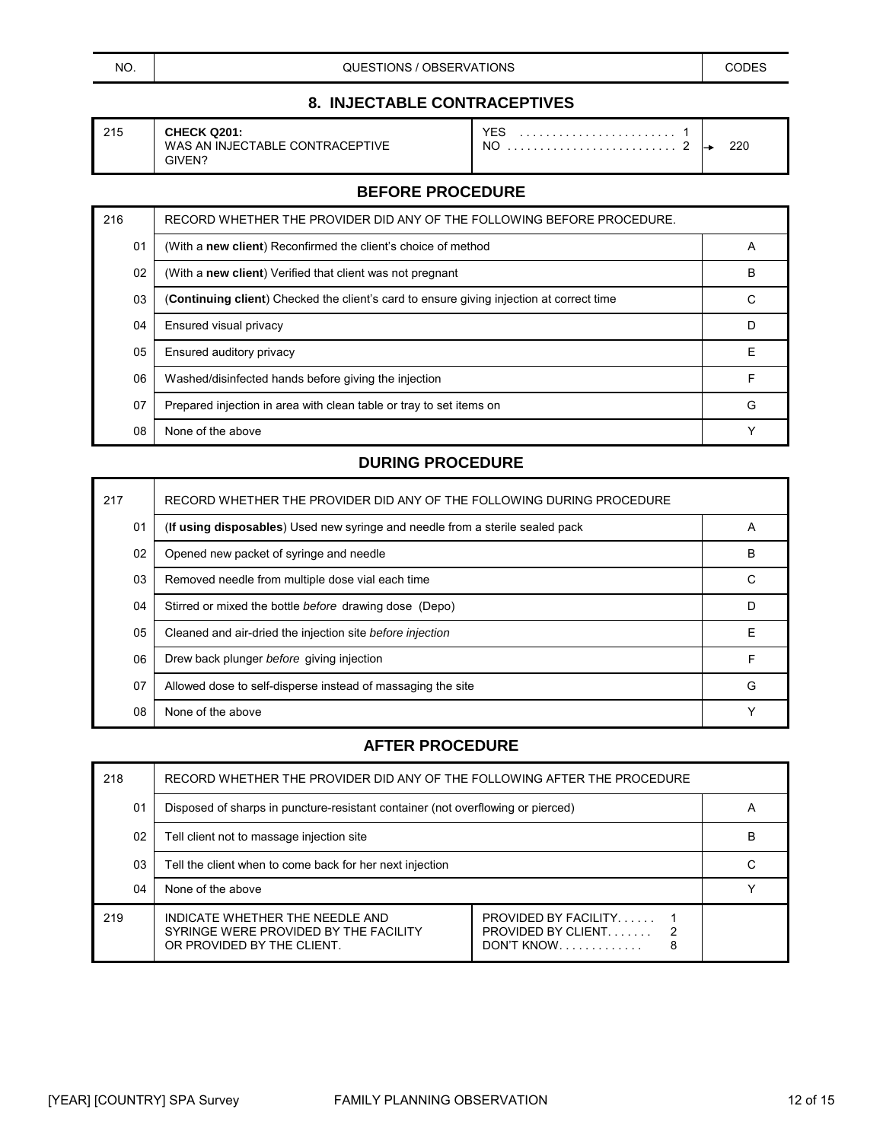NO. NO. NO. A CODES CODES CONSTIONS / OBSERVATIONS CODES CODES

## **8. INJECTABLE CONTRACEPTIVES**

| 215 | <b>CHECK</b><br>Q201:<br>'IVE<br>CTABLE CONTRACEPT<br>WAS<br>IN.IFC<br>AN<br>GIVEN? | YES<br>.<br>NC<br>. | 220<br>the contract of the contract of |  |
|-----|-------------------------------------------------------------------------------------|---------------------|----------------------------------------|--|
|-----|-------------------------------------------------------------------------------------|---------------------|----------------------------------------|--|

## **BEFORE PROCEDURE**

| 216 | RECORD WHETHER THE PROVIDER DID ANY OF THE FOLLOWING BEFORE PROCEDURE.                   |   |
|-----|------------------------------------------------------------------------------------------|---|
| 01  | (With a new client) Reconfirmed the client's choice of method                            | A |
| 02  | (With a new client) Verified that client was not pregnant                                | B |
| 03  | (Continuing client) Checked the client's card to ensure giving injection at correct time | С |
| 04  | Ensured visual privacy                                                                   | D |
| 05  | Ensured auditory privacy                                                                 | Е |
| 06  | Washed/disinfected hands before giving the injection                                     | F |
| 07  | Prepared injection in area with clean table or tray to set items on                      | G |
| 08  | None of the above                                                                        |   |

#### **DURING PROCEDURE**

| 217 | RECORD WHETHER THE PROVIDER DID ANY OF THE FOLLOWING DURING PROCEDURE         |   |
|-----|-------------------------------------------------------------------------------|---|
| 01  | (If using disposables) Used new syringe and needle from a sterile sealed pack | A |
| 02  | Opened new packet of syringe and needle                                       | В |
| 03  | Removed needle from multiple dose vial each time                              | C |
| 04  | Stirred or mixed the bottle before drawing dose (Depo)                        | D |
| 05  | Cleaned and air-dried the injection site before injection                     | F |
| 06  | Drew back plunger before giving injection                                     | F |
| 07  | Allowed dose to self-disperse instead of massaging the site                   | G |
| 08  | None of the above                                                             |   |

| 218 | RECORD WHETHER THE PROVIDER DID ANY OF THE FOLLOWING AFTER THE PROCEDURE                               |                                                               |   |
|-----|--------------------------------------------------------------------------------------------------------|---------------------------------------------------------------|---|
| 01  | Disposed of sharps in puncture-resistant container (not overflowing or pierced)                        |                                                               | Α |
| 02  | Tell client not to massage injection site                                                              |                                                               | в |
| 03  | Tell the client when to come back for her next injection                                               |                                                               |   |
| 04  | None of the above                                                                                      |                                                               |   |
| 219 | INDICATE WHETHER THE NEEDLE AND<br>SYRINGE WERE PROVIDED BY THE FACILITY<br>OR PROVIDED BY THE CLIENT. | <b>PROVIDED BY FACILITY</b><br><b>PROVIDED BY CLIENT</b><br>8 |   |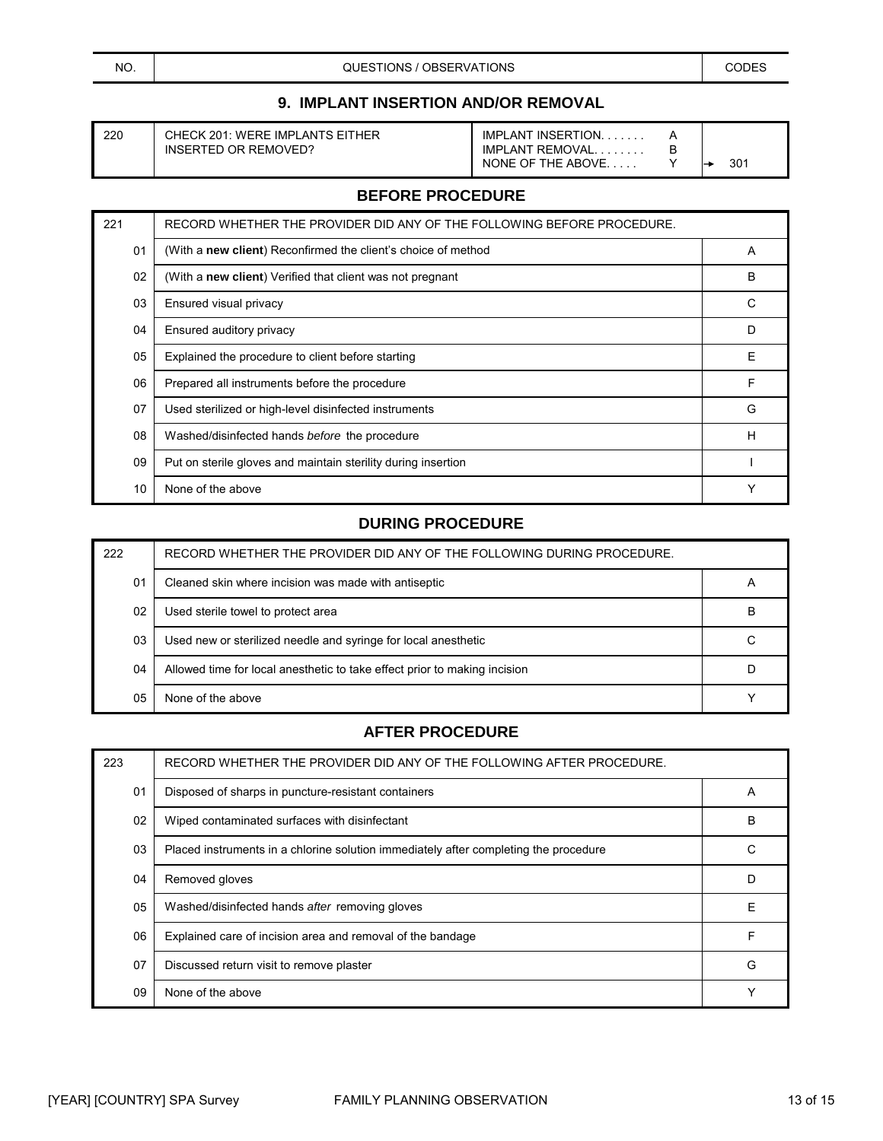## **9. IMPLANT INSERTION AND/OR REMOVAL**

| 20 | CHECK 201: WERE IMPLAN |
|----|------------------------|
|    | INSERTED OR REMOVED?   |

220 CHECK 201: WERE IMPLANTS EITHER IMPLANT INSERTION. . . . . . . . . A<br>INSERTED OR REMOVED? IMPLANT REMOVAL. . . . . . . . B IMPLANT REMOVAL. . . . . . . . . B<br>NONE OF THE ABOVE. . . . . . . Y NONE OF THE ABOVE....  $\begin{array}{ccc} \uparrow & \downarrow \\ \end{array}$  301

#### **BEFORE PROCEDURE**

| 221 | RECORD WHETHER THE PROVIDER DID ANY OF THE FOLLOWING BEFORE PROCEDURE. |   |
|-----|------------------------------------------------------------------------|---|
| 01  | (With a new client) Reconfirmed the client's choice of method          | A |
| 02  | (With a new client) Verified that client was not pregnant              | B |
| 03  | Ensured visual privacy                                                 | C |
| 04  | Ensured auditory privacy                                               | D |
| 05  | Explained the procedure to client before starting                      | Ε |
| 06  | Prepared all instruments before the procedure                          | F |
| 07  | Used sterilized or high-level disinfected instruments                  | G |
| 08  | Washed/disinfected hands before the procedure                          | H |
| 09  | Put on sterile gloves and maintain sterility during insertion          |   |
| 10  | None of the above                                                      |   |

## **DURING PROCEDURE**

| 222 | RECORD WHETHER THE PROVIDER DID ANY OF THE FOLLOWING DURING PROCEDURE.    |              |
|-----|---------------------------------------------------------------------------|--------------|
| 01  | Cleaned skin where incision was made with antiseptic                      | $\mathsf{H}$ |
| 02  | Used sterile towel to protect area                                        | в            |
| 03  | Used new or sterilized needle and syringe for local anesthetic            |              |
| 04  | Allowed time for local anesthetic to take effect prior to making incision |              |
| 05  | None of the above                                                         |              |

| 223 | RECORD WHETHER THE PROVIDER DID ANY OF THE FOLLOWING AFTER PROCEDURE.                |   |
|-----|--------------------------------------------------------------------------------------|---|
| 01  | Disposed of sharps in puncture-resistant containers                                  | A |
| 02  | Wiped contaminated surfaces with disinfectant                                        | В |
| 03  | Placed instruments in a chlorine solution immediately after completing the procedure | C |
| 04  | Removed gloves                                                                       | D |
| 05  | Washed/disinfected hands after removing gloves                                       | F |
| 06  | Explained care of incision area and removal of the bandage                           | F |
| 07  | Discussed return visit to remove plaster                                             | G |
| 09  | None of the above                                                                    |   |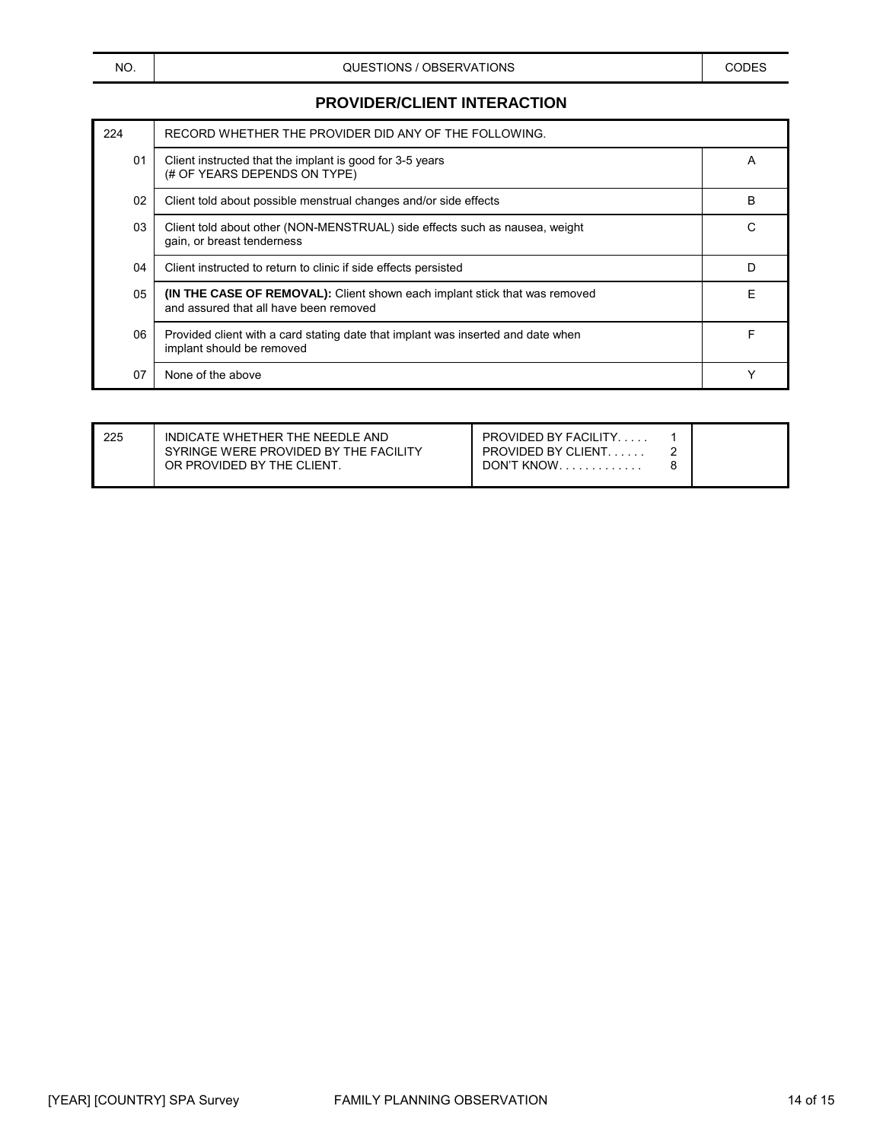#### **PROVIDER/CLIENT INTERACTION**

| 224 | RECORD WHETHER THE PROVIDER DID ANY OF THE FOLLOWING.                                                                       |   |
|-----|-----------------------------------------------------------------------------------------------------------------------------|---|
| 01  | Client instructed that the implant is good for 3-5 years<br>(# OF YEARS DEPENDS ON TYPE)                                    | А |
| 02  | Client told about possible menstrual changes and/or side effects                                                            | B |
| 03  | Client told about other (NON-MENSTRUAL) side effects such as nausea, weight<br>gain, or breast tenderness                   | С |
| 04  | Client instructed to return to clinic if side effects persisted                                                             | D |
| 05  | <b>(IN THE CASE OF REMOVAL):</b> Client shown each implant stick that was removed<br>and assured that all have been removed | F |
| 06  | Provided client with a card stating date that implant was inserted and date when<br>implant should be removed               | F |
| 07  | None of the above                                                                                                           |   |

| 225<br><b>PROVIDED BY FACILITY</b><br>INDICATE WHETHER THE NEEDLE AND<br>SYRINGE WERE PROVIDED BY THE FACILITY<br><b>PROVIDED BY CLIENT</b><br>OR PROVIDED BY THE CLIENT.<br>DON'T KNOW. |  |
|------------------------------------------------------------------------------------------------------------------------------------------------------------------------------------------|--|
|------------------------------------------------------------------------------------------------------------------------------------------------------------------------------------------|--|